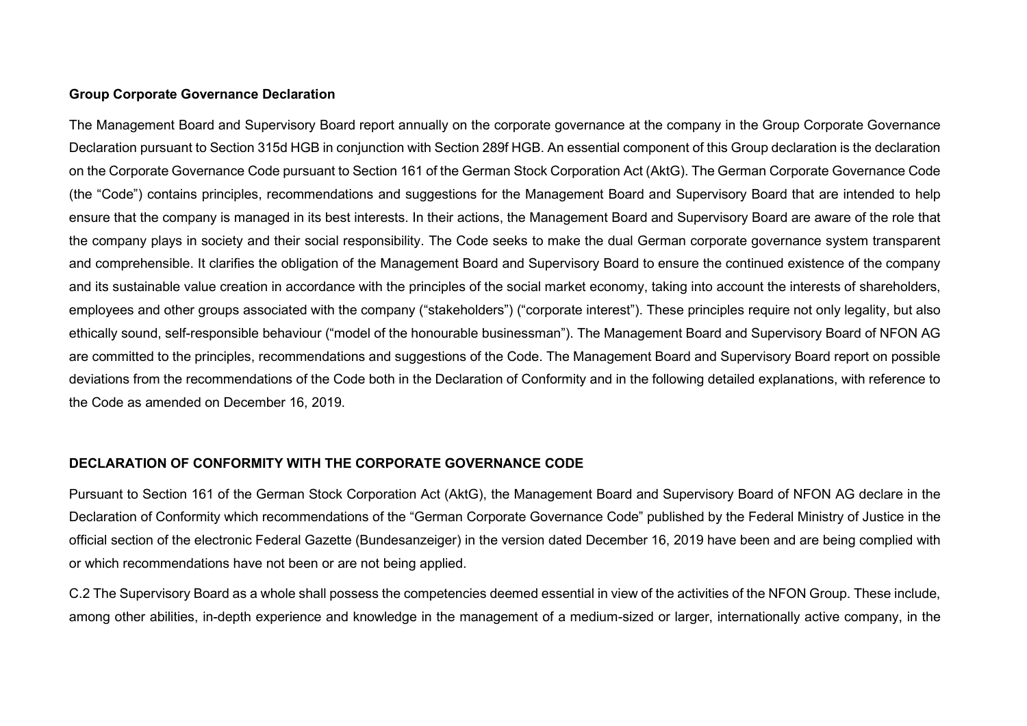# **Group Corporate Governance Declaration**

The Management Board and Supervisory Board report annually on the corporate governance at the company in the Group Corporate Governance Declaration pursuant to Section 315d HGB in conjunction with Section 289f HGB. An essential component of this Group declaration is the declaration on the Corporate Governance Code pursuant to Section 161 of the German Stock Corporation Act (AktG). The German Corporate Governance Code (the "Code") contains principles, recommendations and suggestions for the Management Board and Supervisory Board that are intended to help ensure that the company is managed in its best interests. In their actions, the Management Board and Supervisory Board are aware of the role that the company plays in society and their social responsibility. The Code seeks to make the dual German corporate governance system transparent and comprehensible. It clarifies the obligation of the Management Board and Supervisory Board to ensure the continued existence of the company and its sustainable value creation in accordance with the principles of the social market economy, taking into account the interests of shareholders, employees and other groups associated with the company ("stakeholders") ("corporate interest"). These principles require not only legality, but also ethically sound, self-responsible behaviour ("model of the honourable businessman"). The Management Board and Supervisory Board of NFON AG are committed to the principles, recommendations and suggestions of the Code. The Management Board and Supervisory Board report on possible deviations from the recommendations of the Code both in the Declaration of Conformity and in the following detailed explanations, with reference to the Code as amended on December 16, 2019.

# **DECLARATION OF CONFORMITY WITH THE CORPORATE GOVERNANCE CODE**

Pursuant to Section 161 of the German Stock Corporation Act (AktG), the Management Board and Supervisory Board of NFON AG declare in the Declaration of Conformity which recommendations of the "German Corporate Governance Code" published by the Federal Ministry of Justice in the official section of the electronic Federal Gazette (Bundesanzeiger) in the version dated December 16, 2019 have been and are being complied with or which recommendations have not been or are not being applied.

C.2 The Supervisory Board as a whole shall possess the competencies deemed essential in view of the activities of the NFON Group. These include, among other abilities, in-depth experience and knowledge in the management of a medium-sized or larger, internationally active company, in the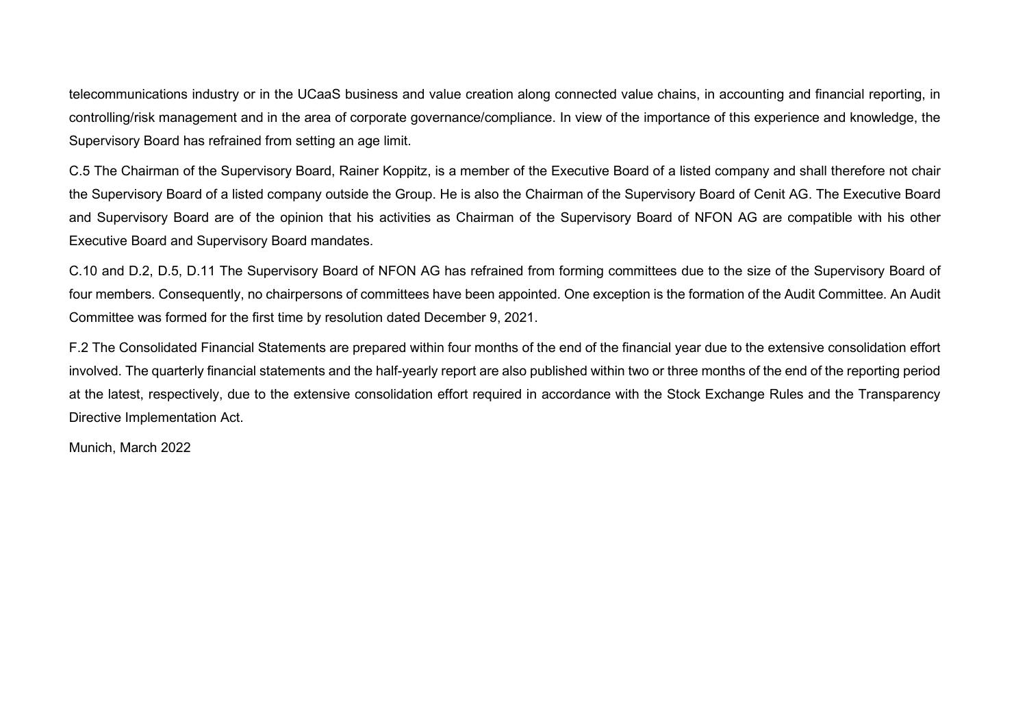telecommunications industry or in the UCaaS business and value creation along connected value chains, in accounting and financial reporting, in controlling/risk management and in the area of corporate governance/compliance. In view of the importance of this experience and knowledge, the Supervisory Board has refrained from setting an age limit.

C.5 The Chairman of the Supervisory Board, Rainer Koppitz, is a member of the Executive Board of a listed company and shall therefore not chair the Supervisory Board of a listed company outside the Group. He is also the Chairman of the Supervisory Board of Cenit AG. The Executive Board and Supervisory Board are of the opinion that his activities as Chairman of the Supervisory Board of NFON AG are compatible with his other Executive Board and Supervisory Board mandates.

C.10 and D.2, D.5, D.11 The Supervisory Board of NFON AG has refrained from forming committees due to the size of the Supervisory Board of four members. Consequently, no chairpersons of committees have been appointed. One exception is the formation of the Audit Committee. An Audit Committee was formed for the first time by resolution dated December 9, 2021.

F.2 The Consolidated Financial Statements are prepared within four months of the end of the financial year due to the extensive consolidation effort involved. The quarterly financial statements and the half-yearly report are also published within two or three months of the end of the reporting period at the latest, respectively, due to the extensive consolidation effort required in accordance with the Stock Exchange Rules and the Transparency Directive Implementation Act.

Munich, March 2022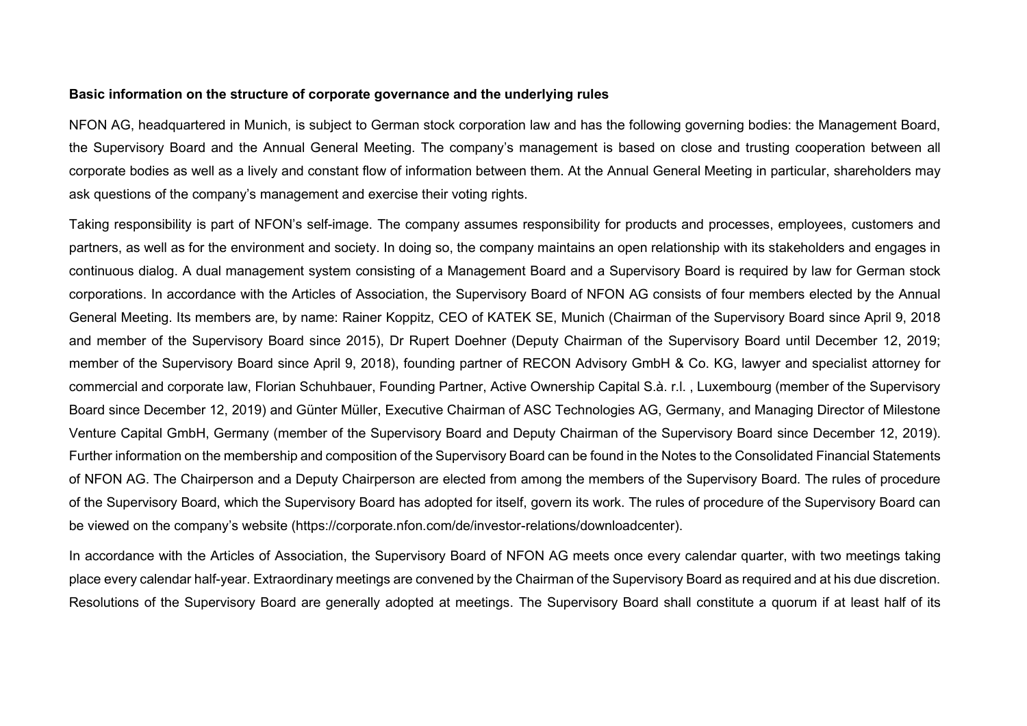# **Basic information on the structure of corporate governance and the underlying rules**

NFON AG, headquartered in Munich, is subject to German stock corporation law and has the following governing bodies: the Management Board, the Supervisory Board and the Annual General Meeting. The company's management is based on close and trusting cooperation between all corporate bodies as well as a lively and constant flow of information between them. At the Annual General Meeting in particular, shareholders may ask questions of the company's management and exercise their voting rights.

Taking responsibility is part of NFON's self-image. The company assumes responsibility for products and processes, employees, customers and partners, as well as for the environment and society. In doing so, the company maintains an open relationship with its stakeholders and engages in continuous dialog. A dual management system consisting of a Management Board and a Supervisory Board is required by law for German stock corporations. In accordance with the Articles of Association, the Supervisory Board of NFON AG consists of four members elected by the Annual General Meeting. Its members are, by name: Rainer Koppitz, CEO of KATEK SE, Munich (Chairman of the Supervisory Board since April 9, 2018 and member of the Supervisory Board since 2015), Dr Rupert Doehner (Deputy Chairman of the Supervisory Board until December 12, 2019; member of the Supervisory Board since April 9, 2018), founding partner of RECON Advisory GmbH & Co. KG, lawyer and specialist attorney for commercial and corporate law, Florian Schuhbauer, Founding Partner, Active Ownership Capital S.à. r.l. , Luxembourg (member of the Supervisory Board since December 12, 2019) and Günter Müller, Executive Chairman of ASC Technologies AG, Germany, and Managing Director of Milestone Venture Capital GmbH, Germany (member of the Supervisory Board and Deputy Chairman of the Supervisory Board since December 12, 2019). Further information on the membership and composition of the Supervisory Board can be found in the Notes to the Consolidated Financial Statements of NFON AG. The Chairperson and a Deputy Chairperson are elected from among the members of the Supervisory Board. The rules of procedure of the Supervisory Board, which the Supervisory Board has adopted for itself, govern its work. The rules of procedure of the Supervisory Board can be viewed on the company's website (https://corporate.nfon.com/de/investor-relations/downloadcenter).

In accordance with the Articles of Association, the Supervisory Board of NFON AG meets once every calendar quarter, with two meetings taking place every calendar half-year. Extraordinary meetings are convened by the Chairman of the Supervisory Board as required and at his due discretion. Resolutions of the Supervisory Board are generally adopted at meetings. The Supervisory Board shall constitute a quorum if at least half of its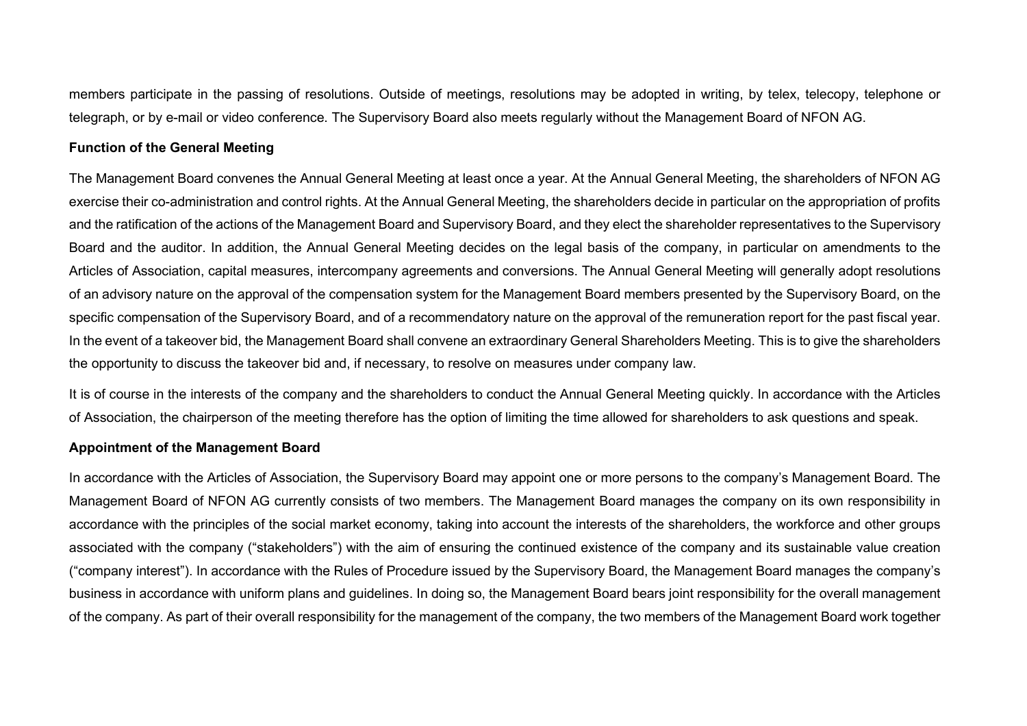members participate in the passing of resolutions. Outside of meetings, resolutions may be adopted in writing, by telex, telecopy, telephone or telegraph, or by e-mail or video conference. The Supervisory Board also meets regularly without the Management Board of NFON AG.

# **Function of the General Meeting**

The Management Board convenes the Annual General Meeting at least once a year. At the Annual General Meeting, the shareholders of NFON AG exercise their co-administration and control rights. At the Annual General Meeting, the shareholders decide in particular on the appropriation of profits and the ratification of the actions of the Management Board and Supervisory Board, and they elect the shareholder representatives to the Supervisory Board and the auditor. In addition, the Annual General Meeting decides on the legal basis of the company, in particular on amendments to the Articles of Association, capital measures, intercompany agreements and conversions. The Annual General Meeting will generally adopt resolutions of an advisory nature on the approval of the compensation system for the Management Board members presented by the Supervisory Board, on the specific compensation of the Supervisory Board, and of a recommendatory nature on the approval of the remuneration report for the past fiscal year. In the event of a takeover bid, the Management Board shall convene an extraordinary General Shareholders Meeting. This is to give the shareholders the opportunity to discuss the takeover bid and, if necessary, to resolve on measures under company law.

It is of course in the interests of the company and the shareholders to conduct the Annual General Meeting quickly. In accordance with the Articles of Association, the chairperson of the meeting therefore has the option of limiting the time allowed for shareholders to ask questions and speak.

# **Appointment of the Management Board**

In accordance with the Articles of Association, the Supervisory Board may appoint one or more persons to the company's Management Board. The Management Board of NFON AG currently consists of two members. The Management Board manages the company on its own responsibility in accordance with the principles of the social market economy, taking into account the interests of the shareholders, the workforce and other groups associated with the company ("stakeholders") with the aim of ensuring the continued existence of the company and its sustainable value creation ("company interest"). In accordance with the Rules of Procedure issued by the Supervisory Board, the Management Board manages the company's business in accordance with uniform plans and guidelines. In doing so, the Management Board bears joint responsibility for the overall management of the company. As part of their overall responsibility for the management of the company, the two members of the Management Board work together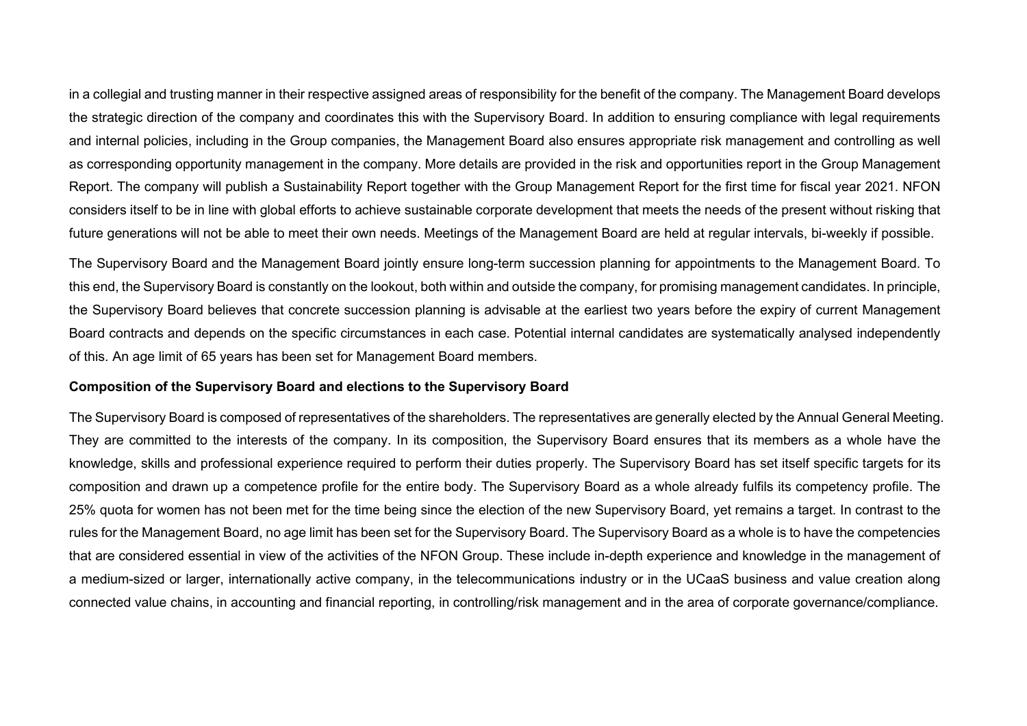in a collegial and trusting manner in their respective assigned areas of responsibility for the benefit of the company. The Management Board develops the strategic direction of the company and coordinates this with the Supervisory Board. In addition to ensuring compliance with legal requirements and internal policies, including in the Group companies, the Management Board also ensures appropriate risk management and controlling as well as corresponding opportunity management in the company. More details are provided in the risk and opportunities report in the Group Management Report. The company will publish a Sustainability Report together with the Group Management Report for the first time for fiscal year 2021. NFON considers itself to be in line with global efforts to achieve sustainable corporate development that meets the needs of the present without risking that future generations will not be able to meet their own needs. Meetings of the Management Board are held at regular intervals, bi-weekly if possible.

The Supervisory Board and the Management Board jointly ensure long-term succession planning for appointments to the Management Board. To this end, the Supervisory Board is constantly on the lookout, both within and outside the company, for promising management candidates. In principle, the Supervisory Board believes that concrete succession planning is advisable at the earliest two years before the expiry of current Management Board contracts and depends on the specific circumstances in each case. Potential internal candidates are systematically analysed independently of this. An age limit of 65 years has been set for Management Board members.

# **Composition of the Supervisory Board and elections to the Supervisory Board**

The Supervisory Board is composed of representatives of the shareholders. The representatives are generally elected by the Annual General Meeting. They are committed to the interests of the company. In its composition, the Supervisory Board ensures that its members as a whole have the knowledge, skills and professional experience required to perform their duties properly. The Supervisory Board has set itself specific targets for its composition and drawn up a competence profile for the entire body. The Supervisory Board as a whole already fulfils its competency profile. The 25% quota for women has not been met for the time being since the election of the new Supervisory Board, yet remains a target. In contrast to the rules for the Management Board, no age limit has been set for the Supervisory Board. The Supervisory Board as a whole is to have the competencies that are considered essential in view of the activities of the NFON Group. These include in-depth experience and knowledge in the management of a medium-sized or larger, internationally active company, in the telecommunications industry or in the UCaaS business and value creation along connected value chains, in accounting and financial reporting, in controlling/risk management and in the area of corporate governance/compliance.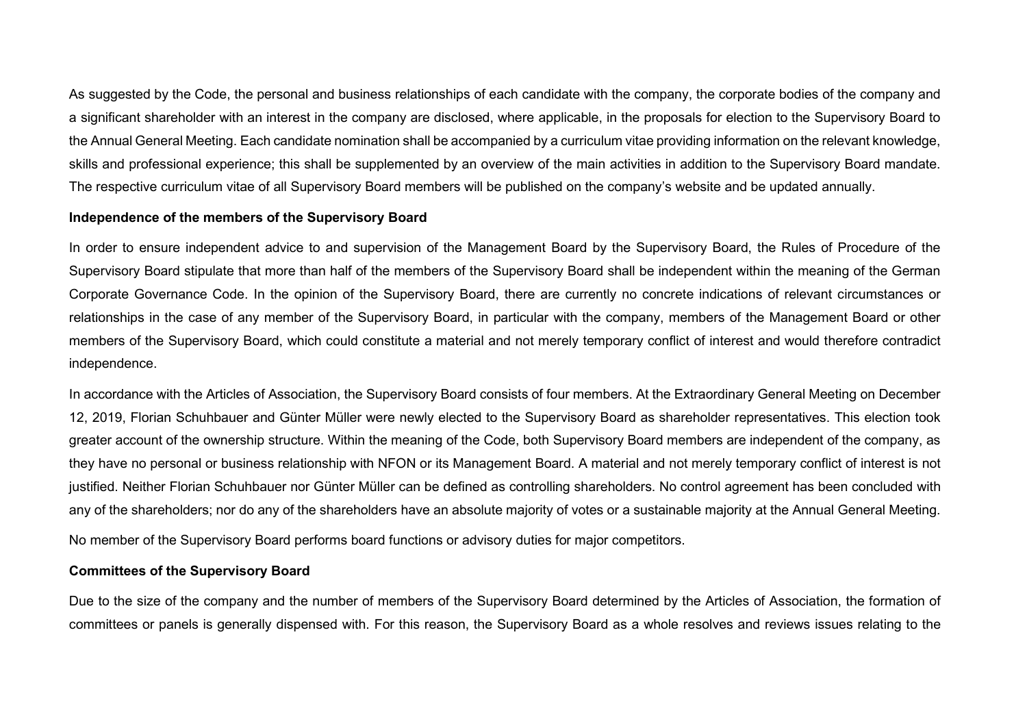As suggested by the Code, the personal and business relationships of each candidate with the company, the corporate bodies of the company and a significant shareholder with an interest in the company are disclosed, where applicable, in the proposals for election to the Supervisory Board to the Annual General Meeting. Each candidate nomination shall be accompanied by a curriculum vitae providing information on the relevant knowledge, skills and professional experience; this shall be supplemented by an overview of the main activities in addition to the Supervisory Board mandate. The respective curriculum vitae of all Supervisory Board members will be published on the company's website and be updated annually.

# **Independence of the members of the Supervisory Board**

In order to ensure independent advice to and supervision of the Management Board by the Supervisory Board, the Rules of Procedure of the Supervisory Board stipulate that more than half of the members of the Supervisory Board shall be independent within the meaning of the German Corporate Governance Code. In the opinion of the Supervisory Board, there are currently no concrete indications of relevant circumstances or relationships in the case of any member of the Supervisory Board, in particular with the company, members of the Management Board or other members of the Supervisory Board, which could constitute a material and not merely temporary conflict of interest and would therefore contradict independence.

In accordance with the Articles of Association, the Supervisory Board consists of four members. At the Extraordinary General Meeting on December 12, 2019, Florian Schuhbauer and Günter Müller were newly elected to the Supervisory Board as shareholder representatives. This election took greater account of the ownership structure. Within the meaning of the Code, both Supervisory Board members are independent of the company, as they have no personal or business relationship with NFON or its Management Board. A material and not merely temporary conflict of interest is not justified. Neither Florian Schuhbauer nor Günter Müller can be defined as controlling shareholders. No control agreement has been concluded with any of the shareholders; nor do any of the shareholders have an absolute majority of votes or a sustainable majority at the Annual General Meeting.

No member of the Supervisory Board performs board functions or advisory duties for major competitors.

# **Committees of the Supervisory Board**

Due to the size of the company and the number of members of the Supervisory Board determined by the Articles of Association, the formation of committees or panels is generally dispensed with. For this reason, the Supervisory Board as a whole resolves and reviews issues relating to the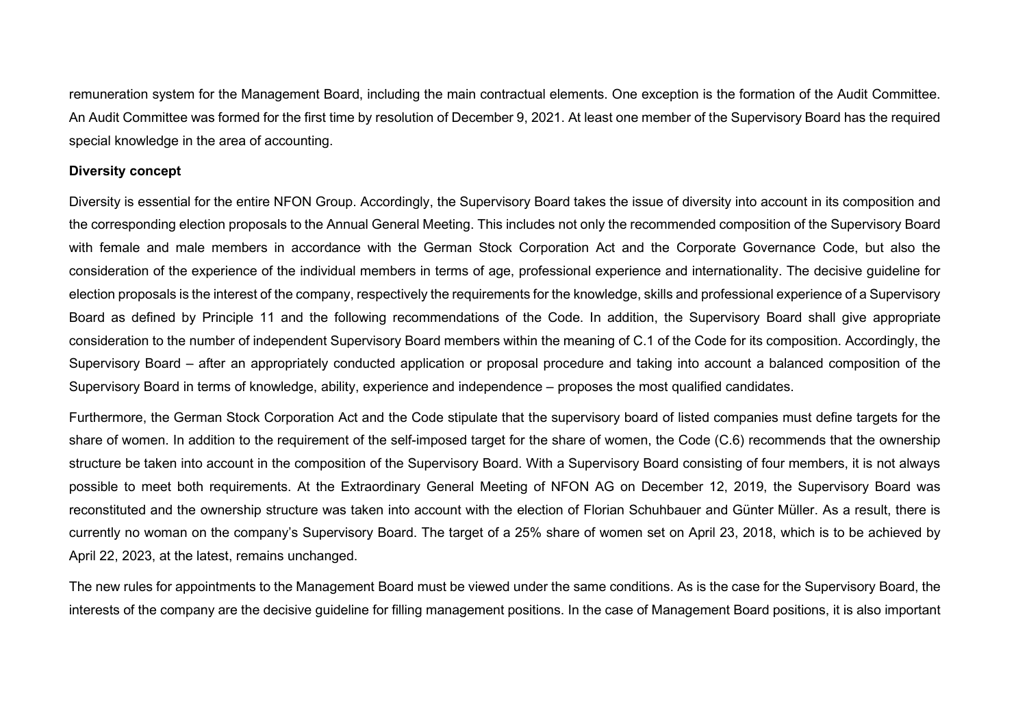remuneration system for the Management Board, including the main contractual elements. One exception is the formation of the Audit Committee. An Audit Committee was formed for the first time by resolution of December 9, 2021. At least one member of the Supervisory Board has the required special knowledge in the area of accounting.

#### **Diversity concept**

Diversity is essential for the entire NFON Group. Accordingly, the Supervisory Board takes the issue of diversity into account in its composition and the corresponding election proposals to the Annual General Meeting. This includes not only the recommended composition of the Supervisory Board with female and male members in accordance with the German Stock Corporation Act and the Corporate Governance Code, but also the consideration of the experience of the individual members in terms of age, professional experience and internationality. The decisive guideline for election proposals is the interest of the company, respectively the requirements for the knowledge, skills and professional experience of a Supervisory Board as defined by Principle 11 and the following recommendations of the Code. In addition, the Supervisory Board shall give appropriate consideration to the number of independent Supervisory Board members within the meaning of C.1 of the Code for its composition. Accordingly, the Supervisory Board – after an appropriately conducted application or proposal procedure and taking into account a balanced composition of the Supervisory Board in terms of knowledge, ability, experience and independence – proposes the most qualified candidates.

Furthermore, the German Stock Corporation Act and the Code stipulate that the supervisory board of listed companies must define targets for the share of women. In addition to the requirement of the self-imposed target for the share of women, the Code (C.6) recommends that the ownership structure be taken into account in the composition of the Supervisory Board. With a Supervisory Board consisting of four members, it is not always possible to meet both requirements. At the Extraordinary General Meeting of NFON AG on December 12, 2019, the Supervisory Board was reconstituted and the ownership structure was taken into account with the election of Florian Schuhbauer and Günter Müller. As a result, there is currently no woman on the company's Supervisory Board. The target of a 25% share of women set on April 23, 2018, which is to be achieved by April 22, 2023, at the latest, remains unchanged.

The new rules for appointments to the Management Board must be viewed under the same conditions. As is the case for the Supervisory Board, the interests of the company are the decisive guideline for filling management positions. In the case of Management Board positions, it is also important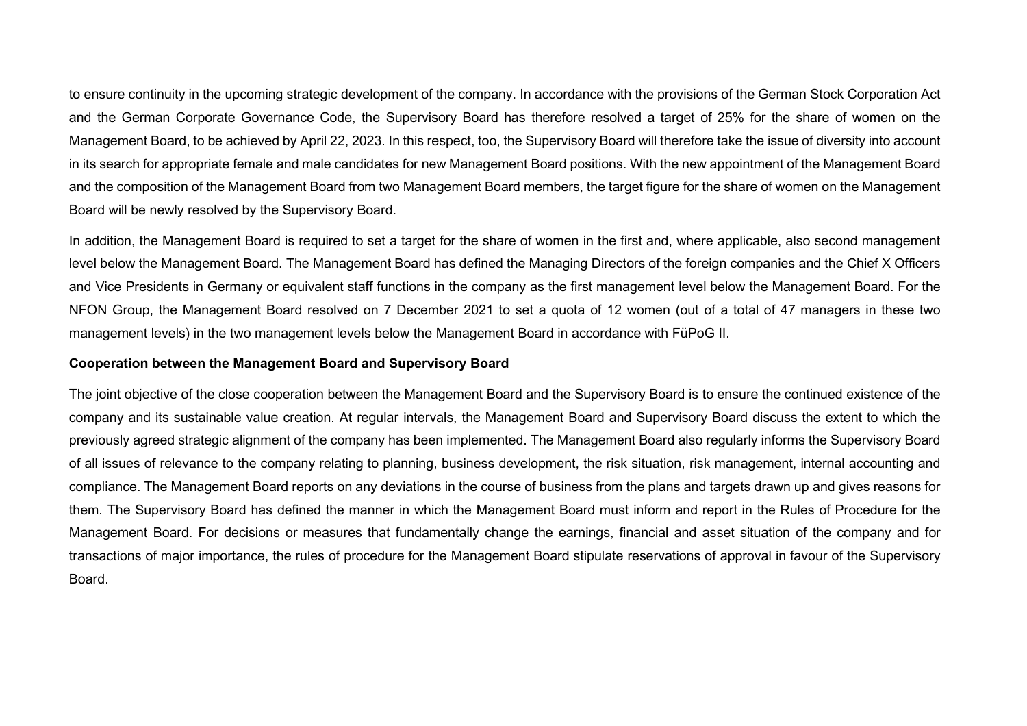to ensure continuity in the upcoming strategic development of the company. In accordance with the provisions of the German Stock Corporation Act and the German Corporate Governance Code, the Supervisory Board has therefore resolved a target of 25% for the share of women on the Management Board, to be achieved by April 22, 2023. In this respect, too, the Supervisory Board will therefore take the issue of diversity into account in its search for appropriate female and male candidates for new Management Board positions. With the new appointment of the Management Board and the composition of the Management Board from two Management Board members, the target figure for the share of women on the Management Board will be newly resolved by the Supervisory Board.

In addition, the Management Board is required to set a target for the share of women in the first and, where applicable, also second management level below the Management Board. The Management Board has defined the Managing Directors of the foreign companies and the Chief X Officers and Vice Presidents in Germany or equivalent staff functions in the company as the first management level below the Management Board. For the NFON Group, the Management Board resolved on 7 December 2021 to set a quota of 12 women (out of a total of 47 managers in these two management levels) in the two management levels below the Management Board in accordance with FüPoG II.

#### **Cooperation between the Management Board and Supervisory Board**

The joint objective of the close cooperation between the Management Board and the Supervisory Board is to ensure the continued existence of the company and its sustainable value creation. At regular intervals, the Management Board and Supervisory Board discuss the extent to which the previously agreed strategic alignment of the company has been implemented. The Management Board also regularly informs the Supervisory Board of all issues of relevance to the company relating to planning, business development, the risk situation, risk management, internal accounting and compliance. The Management Board reports on any deviations in the course of business from the plans and targets drawn up and gives reasons for them. The Supervisory Board has defined the manner in which the Management Board must inform and report in the Rules of Procedure for the Management Board. For decisions or measures that fundamentally change the earnings, financial and asset situation of the company and for transactions of major importance, the rules of procedure for the Management Board stipulate reservations of approval in favour of the Supervisory Board.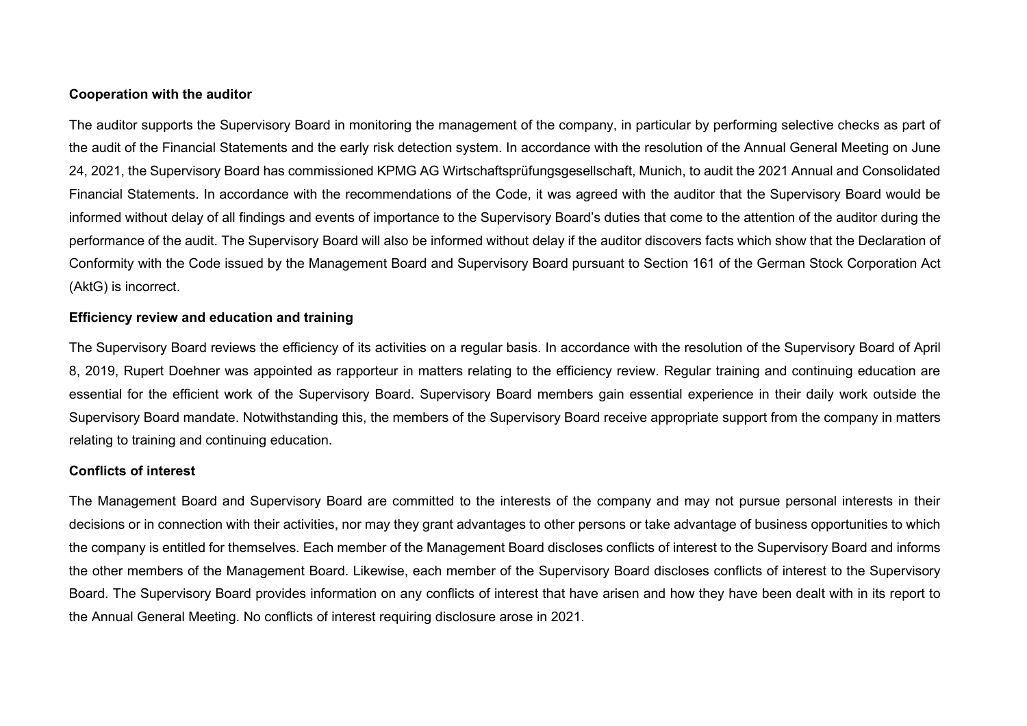# **Cooperation with the auditor**

The auditor supports the Supervisory Board in monitoring the management of the company, in particular by performing selective checks as part of the audit of the Financial Statements and the early risk detection system. In accordance with the resolution of the Annual General Meeting on June 24, 2021, the Supervisory Board has commissioned KPMG AG Wirtschaftsprüfungsgesellschaft, Munich, to audit the 2021 Annual and Consolidated Financial Statements. In accordance with the recommendations of the Code, it was agreed with the auditor that the Supervisory Board would be informed without delay of all findings and events of importance to the Supervisory Board's duties that come to the attention of the auditor during the performance of the audit. The Supervisory Board will also be informed without delay if the auditor discovers facts which show that the Declaration of Conformity with the Code issued by the Management Board and Supervisory Board pursuant to Section 161 of the German Stock Corporation Act (AktG) is incorrect.

# **Efficiency review and education and training**

The Supervisory Board reviews the efficiency of its activities on a regular basis. In accordance with the resolution of the Supervisory Board of April 8, 2019, Rupert Doehner was appointed as rapporteur in matters relating to the efficiency review. Regular training and continuing education are essential for the efficient work of the Supervisory Board. Supervisory Board members gain essential experience in their daily work outside the Supervisory Board mandate. Notwithstanding this, the members of the Supervisory Board receive appropriate support from the company in matters relating to training and continuing education.

# **Conflicts of interest**

The Management Board and Supervisory Board are committed to the interests of the company and may not pursue personal interests in their decisions or in connection with their activities, nor may they grant advantages to other persons or take advantage of business opportunities to which the company is entitled for themselves. Each member of the Management Board discloses conflicts of interest to the Supervisory Board and informs the other members of the Management Board. Likewise, each member of the Supervisory Board discloses conflicts of interest to the Supervisory Board. The Supervisory Board provides information on any conflicts of interest that have arisen and how they have been dealt with in its report to the Annual General Meeting. No conflicts of interest requiring disclosure arose in 2021.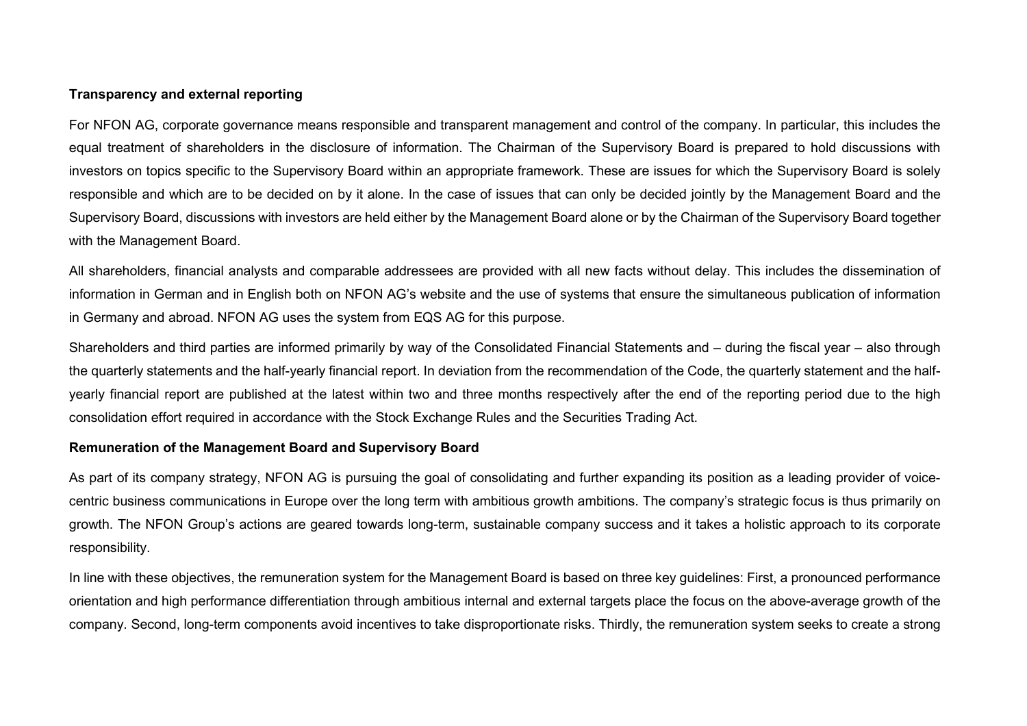# **Transparency and external reporting**

For NFON AG, corporate governance means responsible and transparent management and control of the company. In particular, this includes the equal treatment of shareholders in the disclosure of information. The Chairman of the Supervisory Board is prepared to hold discussions with investors on topics specific to the Supervisory Board within an appropriate framework. These are issues for which the Supervisory Board is solely responsible and which are to be decided on by it alone. In the case of issues that can only be decided jointly by the Management Board and the Supervisory Board, discussions with investors are held either by the Management Board alone or by the Chairman of the Supervisory Board together with the Management Board.

All shareholders, financial analysts and comparable addressees are provided with all new facts without delay. This includes the dissemination of information in German and in English both on NFON AG's website and the use of systems that ensure the simultaneous publication of information in Germany and abroad. NFON AG uses the system from EQS AG for this purpose.

Shareholders and third parties are informed primarily by way of the Consolidated Financial Statements and – during the fiscal year – also through the quarterly statements and the half-yearly financial report. In deviation from the recommendation of the Code, the quarterly statement and the halfyearly financial report are published at the latest within two and three months respectively after the end of the reporting period due to the high consolidation effort required in accordance with the Stock Exchange Rules and the Securities Trading Act.

# **Remuneration of the Management Board and Supervisory Board**

As part of its company strategy, NFON AG is pursuing the goal of consolidating and further expanding its position as a leading provider of voicecentric business communications in Europe over the long term with ambitious growth ambitions. The company's strategic focus is thus primarily on growth. The NFON Group's actions are geared towards long-term, sustainable company success and it takes a holistic approach to its corporate responsibility.

In line with these objectives, the remuneration system for the Management Board is based on three key guidelines: First, a pronounced performance orientation and high performance differentiation through ambitious internal and external targets place the focus on the above-average growth of the company. Second, long-term components avoid incentives to take disproportionate risks. Thirdly, the remuneration system seeks to create a strong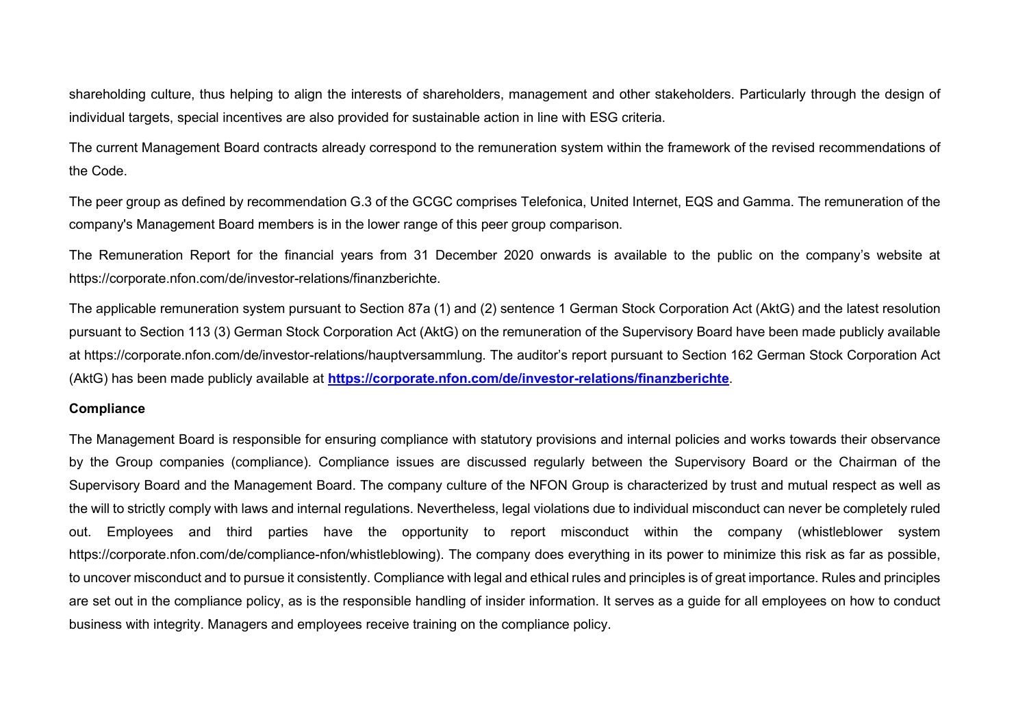shareholding culture, thus helping to align the interests of shareholders, management and other stakeholders. Particularly through the design of individual targets, special incentives are also provided for sustainable action in line with ESG criteria.

The current Management Board contracts already correspond to the remuneration system within the framework of the revised recommendations of the Code.

The peer group as defined by recommendation G.3 of the GCGC comprises Telefonica, United Internet, EQS and Gamma. The remuneration of the company's Management Board members is in the lower range of this peer group comparison.

The Remuneration Report for the financial years from 31 December 2020 onwards is available to the public on the company's website at https://corporate.nfon.com/de/investor-relations/finanzberichte.

The applicable remuneration system pursuant to Section 87a (1) and (2) sentence 1 German Stock Corporation Act (AktG) and the latest resolution pursuant to Section 113 (3) German Stock Corporation Act (AktG) on the remuneration of the Supervisory Board have been made publicly available at https://corporate.nfon.com/de/investor-relations/hauptversammlung. The auditor's report pursuant to Section 162 German Stock Corporation Act (AktG) has been made publicly available at **<https://corporate.nfon.com/de/investor-relations/finanzberichte>**.

# **Compliance**

The Management Board is responsible for ensuring compliance with statutory provisions and internal policies and works towards their observance by the Group companies (compliance). Compliance issues are discussed regularly between the Supervisory Board or the Chairman of the Supervisory Board and the Management Board. The company culture of the NFON Group is characterized by trust and mutual respect as well as the will to strictly comply with laws and internal regulations. Nevertheless, legal violations due to individual misconduct can never be completely ruled out. Employees and third parties have the opportunity to report misconduct within the company (whistleblower system https://corporate.nfon.com/de/compliance-nfon/whistleblowing). The company does everything in its power to minimize this risk as far as possible, to uncover misconduct and to pursue it consistently. Compliance with legal and ethical rules and principles is of great importance. Rules and principles are set out in the compliance policy, as is the responsible handling of insider information. It serves as a guide for all employees on how to conduct business with integrity. Managers and employees receive training on the compliance policy.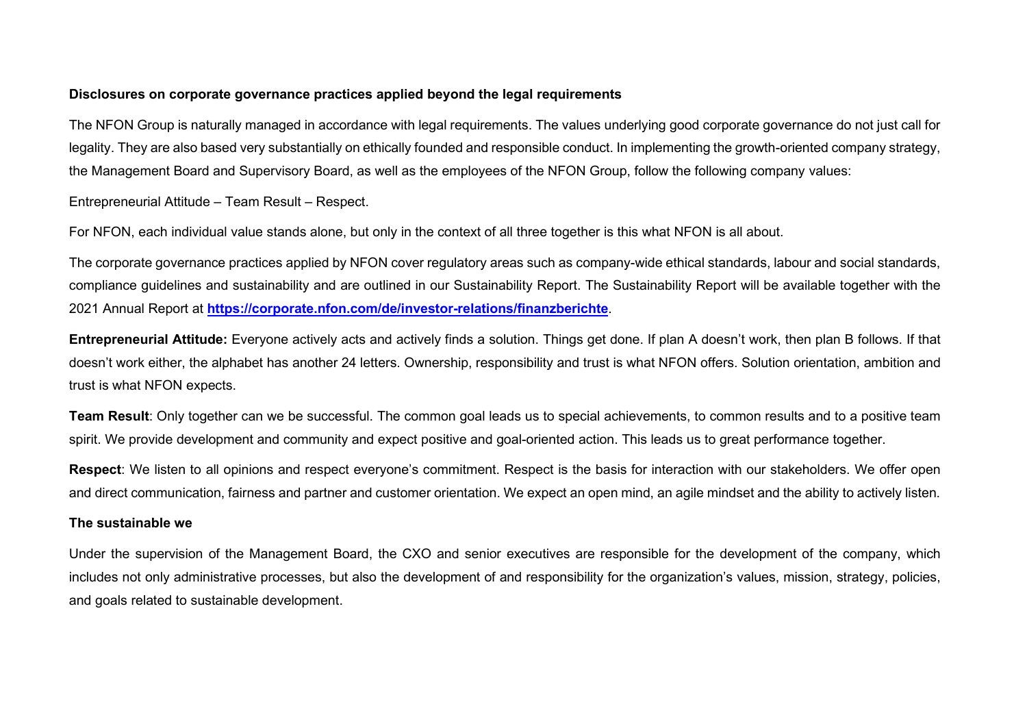# **Disclosures on corporate governance practices applied beyond the legal requirements**

The NFON Group is naturally managed in accordance with legal requirements. The values underlying good corporate governance do not just call for legality. They are also based very substantially on ethically founded and responsible conduct. In implementing the growth-oriented company strategy, the Management Board and Supervisory Board, as well as the employees of the NFON Group, follow the following company values:

Entrepreneurial Attitude – Team Result – Respect.

For NFON, each individual value stands alone, but only in the context of all three together is this what NFON is all about.

The corporate governance practices applied by NFON cover regulatory areas such as company-wide ethical standards, labour and social standards, compliance guidelines and sustainability and are outlined in our Sustainability Report. The Sustainability Report will be available together with the 2021 Annual Report at **<https://corporate.nfon.com/de/investor-relations/finanzberichte>**.

**Entrepreneurial Attitude:** Everyone actively acts and actively finds a solution. Things get done. If plan A doesn't work, then plan B follows. If that doesn't work either, the alphabet has another 24 letters. Ownership, responsibility and trust is what NFON offers. Solution orientation, ambition and trust is what NFON expects.

**Team Result**: Only together can we be successful. The common goal leads us to special achievements, to common results and to a positive team spirit. We provide development and community and expect positive and goal-oriented action. This leads us to great performance together.

**Respect**: We listen to all opinions and respect everyone's commitment. Respect is the basis for interaction with our stakeholders. We offer open and direct communication, fairness and partner and customer orientation. We expect an open mind, an agile mindset and the ability to actively listen.

# **The sustainable we**

Under the supervision of the Management Board, the CXO and senior executives are responsible for the development of the company, which includes not only administrative processes, but also the development of and responsibility for the organization's values, mission, strategy, policies, and goals related to sustainable development.